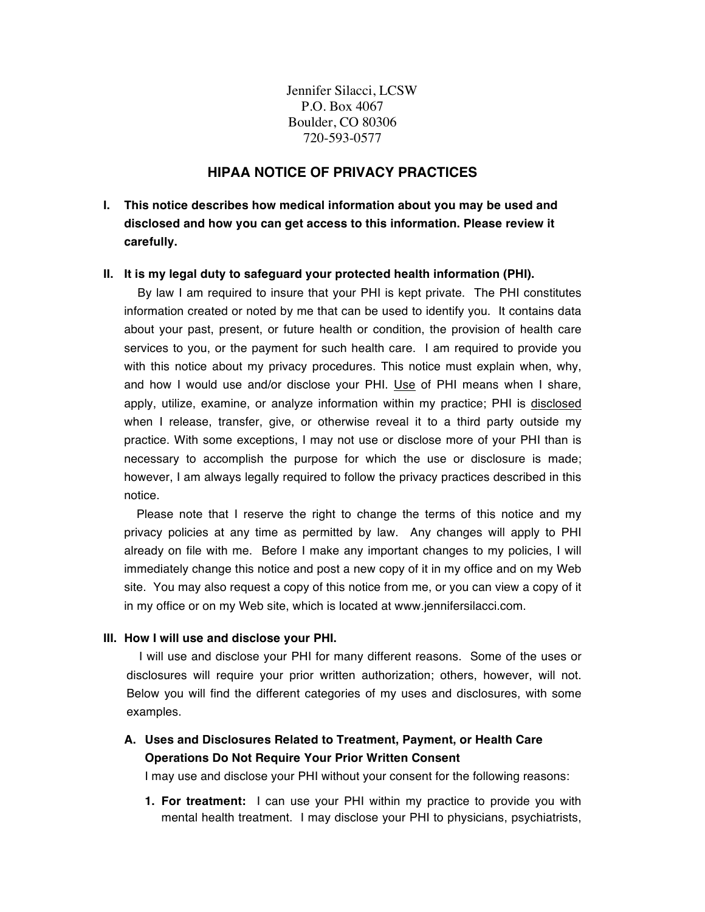Jennifer Silacci, LCSW P.O. Box 4067 Boulder, CO 80306 720-593-0577

# **HIPAA NOTICE OF PRIVACY PRACTICES**

**I. This notice describes how medical information about you may be used and disclosed and how you can get access to this information. Please review it carefully.** 

## **II. It is my legal duty to safeguard your protected health information (PHI).**

 By law I am required to insure that your PHI is kept private. The PHI constitutes information created or noted by me that can be used to identify you. It contains data about your past, present, or future health or condition, the provision of health care services to you, or the payment for such health care. I am required to provide you with this notice about my privacy procedures. This notice must explain when, why, and how I would use and/or disclose your PHI. Use of PHI means when I share, apply, utilize, examine, or analyze information within my practice; PHI is disclosed when I release, transfer, give, or otherwise reveal it to a third party outside my practice. With some exceptions, I may not use or disclose more of your PHI than is necessary to accomplish the purpose for which the use or disclosure is made; however, I am always legally required to follow the privacy practices described in this notice.

Please note that I reserve the right to change the terms of this notice and my privacy policies at any time as permitted by law. Any changes will apply to PHI already on file with me. Before I make any important changes to my policies, I will immediately change this notice and post a new copy of it in my office and on my Web site. You may also request a copy of this notice from me, or you can view a copy of it in my office or on my Web site, which is located at www.jennifersilacci.com.

## **III. How I will use and disclose your PHI.**

I will use and disclose your PHI for many different reasons. Some of the uses or disclosures will require your prior written authorization; others, however, will not. Below you will find the different categories of my uses and disclosures, with some examples.

**A. Uses and Disclosures Related to Treatment, Payment, or Health Care Operations Do Not Require Your Prior Written Consent** 

I may use and disclose your PHI without your consent for the following reasons:

**1. For treatment:** I can use your PHI within my practice to provide you with mental health treatment. I may disclose your PHI to physicians, psychiatrists,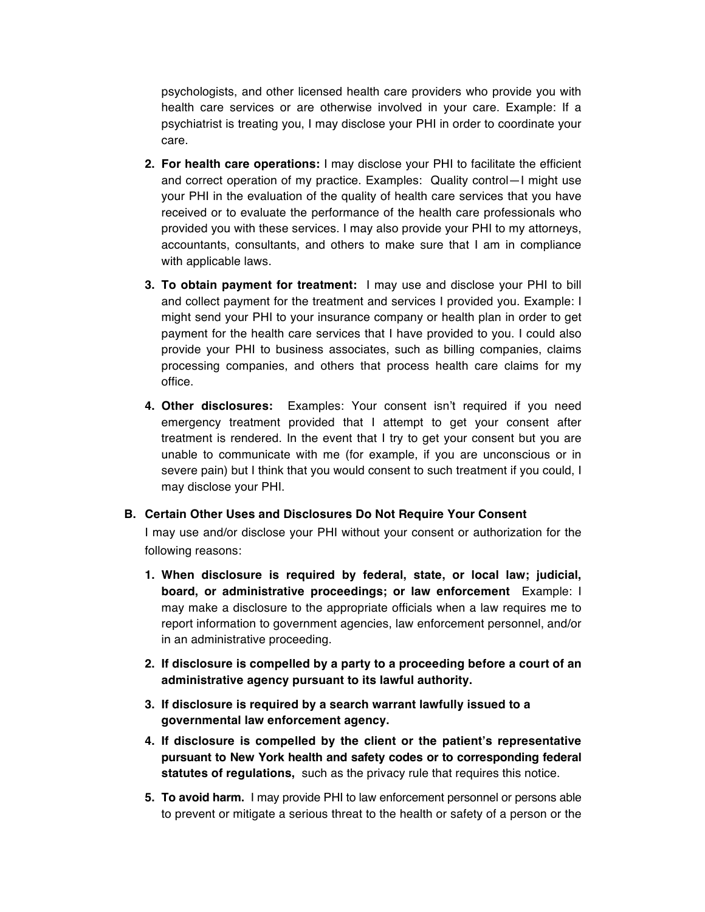psychologists, and other licensed health care providers who provide you with health care services or are otherwise involved in your care. Example: If a psychiatrist is treating you, I may disclose your PHI in order to coordinate your care.

- **2. For health care operations:** I may disclose your PHI to facilitate the efficient and correct operation of my practice. Examples: Quality control—I might use your PHI in the evaluation of the quality of health care services that you have received or to evaluate the performance of the health care professionals who provided you with these services. I may also provide your PHI to my attorneys, accountants, consultants, and others to make sure that I am in compliance with applicable laws.
- **3. To obtain payment for treatment:** I may use and disclose your PHI to bill and collect payment for the treatment and services I provided you. Example: I might send your PHI to your insurance company or health plan in order to get payment for the health care services that I have provided to you. I could also provide your PHI to business associates, such as billing companies, claims processing companies, and others that process health care claims for my office.
- **4. Other disclosures:** Examples: Your consent isn't required if you need emergency treatment provided that I attempt to get your consent after treatment is rendered. In the event that I try to get your consent but you are unable to communicate with me (for example, if you are unconscious or in severe pain) but I think that you would consent to such treatment if you could, I may disclose your PHI.

## **B. Certain Other Uses and Disclosures Do Not Require Your Consent**

I may use and/or disclose your PHI without your consent or authorization for the following reasons:

- **1. When disclosure is required by federal, state, or local law; judicial, board, or administrative proceedings; or law enforcement** Example: I may make a disclosure to the appropriate officials when a law requires me to report information to government agencies, law enforcement personnel, and/or in an administrative proceeding.
- **2. If disclosure is compelled by a party to a proceeding before a court of an administrative agency pursuant to its lawful authority.**
- **3. If disclosure is required by a search warrant lawfully issued to a governmental law enforcement agency.**
- **4. If disclosure is compelled by the client or the patient's representative pursuant to New York health and safety codes or to corresponding federal statutes of regulations,** such as the privacy rule that requires this notice.
- **5. To avoid harm.** I may provide PHI to law enforcement personnel or persons able to prevent or mitigate a serious threat to the health or safety of a person or the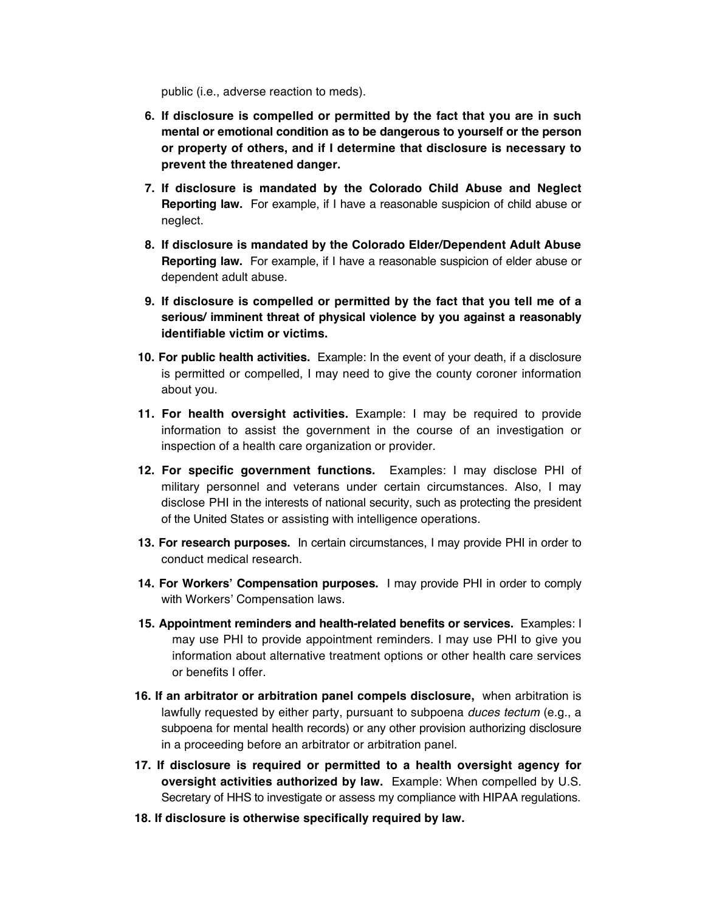public (i.e., adverse reaction to meds).

- **6. If disclosure is compelled or permitted by the fact that you are in such mental or emotional condition as to be dangerous to yourself or the person or property of others, and if I determine that disclosure is necessary to prevent the threatened danger.**
- **7. If disclosure is mandated by the Colorado Child Abuse and Neglect Reporting law.** For example, if I have a reasonable suspicion of child abuse or neglect.
- **8. If disclosure is mandated by the Colorado Elder/Dependent Adult Abuse Reporting law.** For example, if I have a reasonable suspicion of elder abuse or dependent adult abuse.
- **9. If disclosure is compelled or permitted by the fact that you tell me of a serious/ imminent threat of physical violence by you against a reasonably identifiable victim or victims.**
- **10. For public health activities.** Example: In the event of your death, if a disclosure is permitted or compelled, I may need to give the county coroner information about you.
- **11. For health oversight activities.** Example: I may be required to provide information to assist the government in the course of an investigation or inspection of a health care organization or provider.
- **12. For specific government functions.** Examples: I may disclose PHI of military personnel and veterans under certain circumstances. Also, I may disclose PHI in the interests of national security, such as protecting the president of the United States or assisting with intelligence operations.
- **13. For research purposes.** In certain circumstances, I may provide PHI in order to conduct medical research.
- **14. For Workers' Compensation purposes.** I may provide PHI in order to comply with Workers' Compensation laws.
- **15. Appointment reminders and health-related benefits or services.** Examples: I may use PHI to provide appointment reminders. I may use PHI to give you information about alternative treatment options or other health care services or benefits I offer.
- **16. If an arbitrator or arbitration panel compels disclosure,** when arbitration is lawfully requested by either party, pursuant to subpoena *duces tectum* (e.g., a subpoena for mental health records) or any other provision authorizing disclosure in a proceeding before an arbitrator or arbitration panel.
- **17. If disclosure is required or permitted to a health oversight agency for oversight activities authorized by law.** Example: When compelled by U.S. Secretary of HHS to investigate or assess my compliance with HIPAA regulations.
- **18. If disclosure is otherwise specifically required by law.**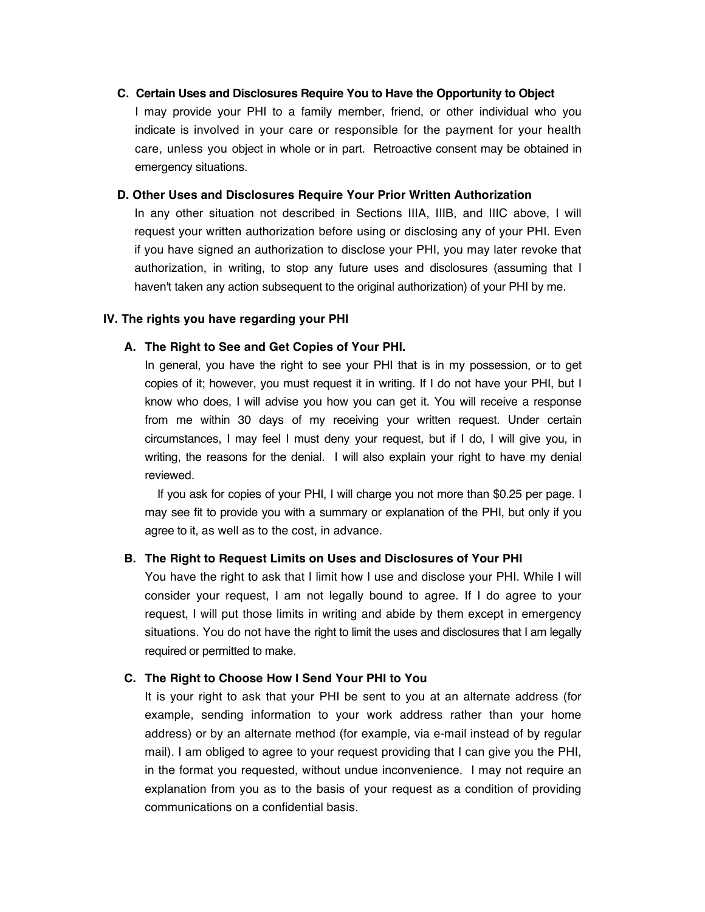## **C. Certain Uses and Disclosures Require You to Have the Opportunity to Object**

I may provide your PHI to a family member, friend, or other individual who you indicate is involved in your care or responsible for the payment for your health care, unless you object in whole or in part. Retroactive consent may be obtained in emergency situations.

### **D. Other Uses and Disclosures Require Your Prior Written Authorization**

In any other situation not described in Sections IIIA, IIIB, and IIIC above, I will request your written authorization before using or disclosing any of your PHI. Even if you have signed an authorization to disclose your PHI, you may later revoke that authorization, in writing, to stop any future uses and disclosures (assuming that I haven't taken any action subsequent to the original authorization) of your PHI by me.

## **IV. The rights you have regarding your PHI**

#### **A. The Right to See and Get Copies of Your PHI.**

In general, you have the right to see your PHI that is in my possession, or to get copies of it; however, you must request it in writing. If I do not have your PHI, but I know who does, I will advise you how you can get it. You will receive a response from me within 30 days of my receiving your written request. Under certain circumstances, I may feel I must deny your request, but if I do, I will give you, in writing, the reasons for the denial. I will also explain your right to have my denial reviewed.

If you ask for copies of your PHI, I will charge you not more than \$0.25 per page. I may see fit to provide you with a summary or explanation of the PHI, but only if you agree to it, as well as to the cost, in advance.

#### **B. The Right to Request Limits on Uses and Disclosures of Your PHI**

You have the right to ask that I limit how I use and disclose your PHI. While I will consider your request, I am not legally bound to agree. If I do agree to your request, I will put those limits in writing and abide by them except in emergency situations. You do not have the right to limit the uses and disclosures that I am legally required or permitted to make.

## **C. The Right to Choose How I Send Your PHI to You**

It is your right to ask that your PHI be sent to you at an alternate address (for example, sending information to your work address rather than your home address) or by an alternate method (for example, via e-mail instead of by regular mail). I am obliged to agree to your request providing that I can give you the PHI, in the format you requested, without undue inconvenience. I may not require an explanation from you as to the basis of your request as a condition of providing communications on a confidential basis.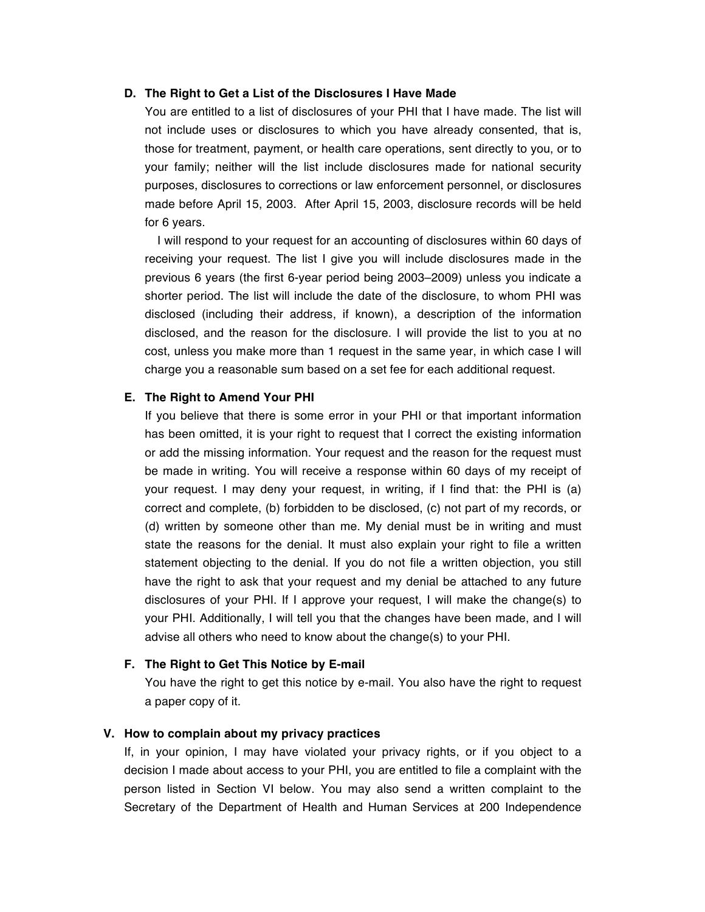## **D. The Right to Get a List of the Disclosures I Have Made**

You are entitled to a list of disclosures of your PHI that I have made. The list will not include uses or disclosures to which you have already consented, that is, those for treatment, payment, or health care operations, sent directly to you, or to your family; neither will the list include disclosures made for national security purposes, disclosures to corrections or law enforcement personnel, or disclosures made before April 15, 2003. After April 15, 2003, disclosure records will be held for 6 years.

I will respond to your request for an accounting of disclosures within 60 days of receiving your request. The list I give you will include disclosures made in the previous 6 years (the first 6-year period being 2003–2009) unless you indicate a shorter period. The list will include the date of the disclosure, to whom PHI was disclosed (including their address, if known), a description of the information disclosed, and the reason for the disclosure. I will provide the list to you at no cost, unless you make more than 1 request in the same year, in which case I will charge you a reasonable sum based on a set fee for each additional request.

### **E. The Right to Amend Your PHI**

If you believe that there is some error in your PHI or that important information has been omitted, it is your right to request that I correct the existing information or add the missing information. Your request and the reason for the request must be made in writing. You will receive a response within 60 days of my receipt of your request. I may deny your request, in writing, if I find that: the PHI is (a) correct and complete, (b) forbidden to be disclosed, (c) not part of my records, or (d) written by someone other than me. My denial must be in writing and must state the reasons for the denial. It must also explain your right to file a written statement objecting to the denial. If you do not file a written objection, you still have the right to ask that your request and my denial be attached to any future disclosures of your PHI. If I approve your request, I will make the change(s) to your PHI. Additionally, I will tell you that the changes have been made, and I will advise all others who need to know about the change(s) to your PHI.

## **F. The Right to Get This Notice by E-mail**

You have the right to get this notice by e-mail. You also have the right to request a paper copy of it.

## **V. How to complain about my privacy practices**

If, in your opinion, I may have violated your privacy rights, or if you object to a decision I made about access to your PHI, you are entitled to file a complaint with the person listed in Section VI below. You may also send a written complaint to the Secretary of the Department of Health and Human Services at 200 Independence